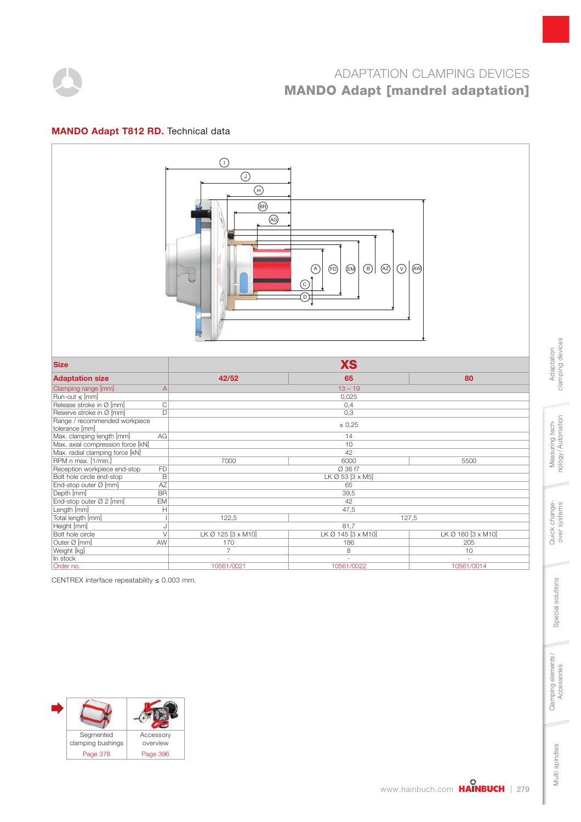

### MANDO Adapt T812 RD. Technical data



CENTREX interface repeatability  $\leq 0.003$  mm.



clamping devices clamping devices Adaptation Adaptation

Multi spindles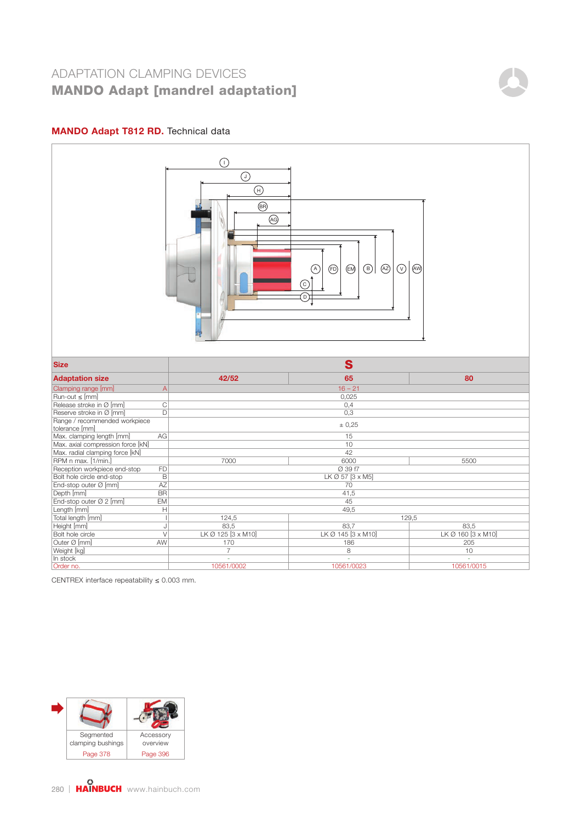### MANDO Adapt T812 RD. Technical data



CENTREX interface repeatability  $\leq 0.003$  mm.

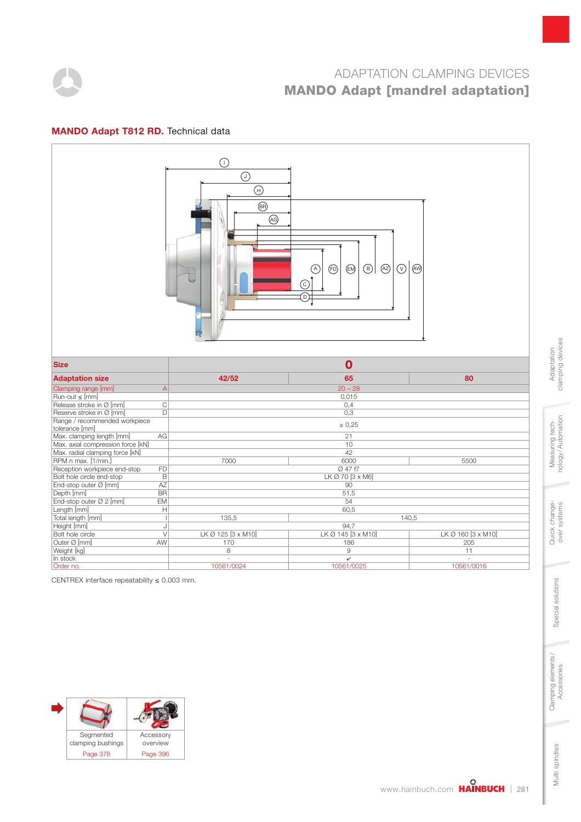

### MANDO Adapt T812 RD. Technical data



CENTREX interface repeatability  $\leq 0.003$  mm.



clamping devices clamping devices Adaptation Adaptation

Multi spindles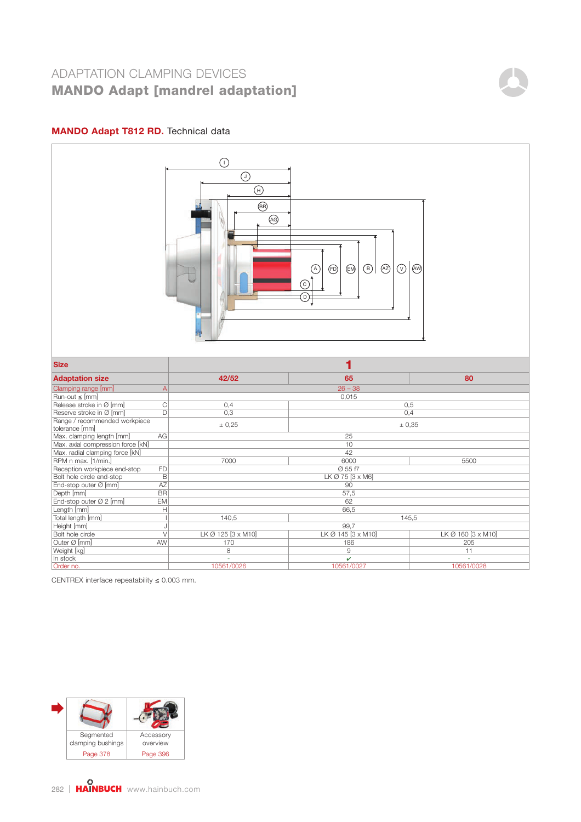### MANDO Adapt T812 RD. Technical data



CENTREX interface repeatability  $\leq 0.003$  mm.

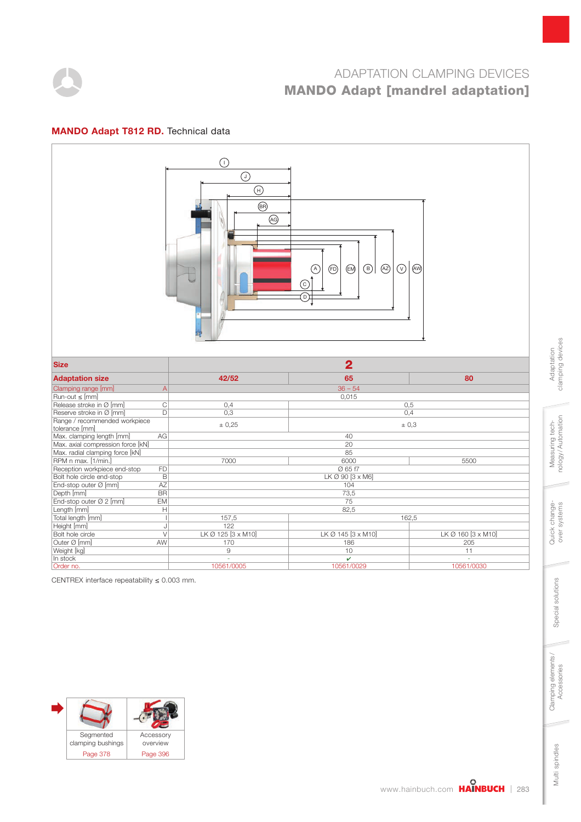

### MANDO Adapt T812 RD. Technical data



CENTREX interface repeatability  $\leq 0.003$  mm.



clamping devices clamping devices Adaptation Adaptation

Multi spindles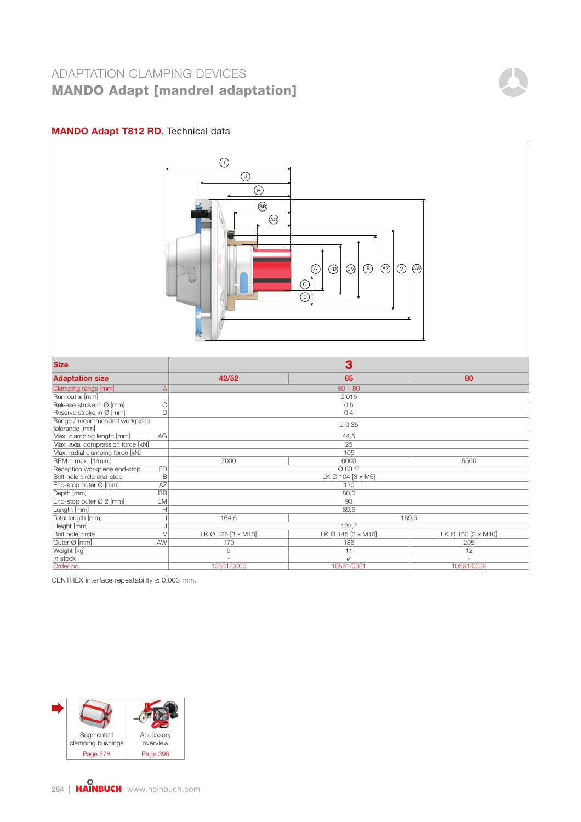### MANDO Adapt T812 RD. Technical data



CENTREX interface repeatability  $\leq 0.003$  mm.